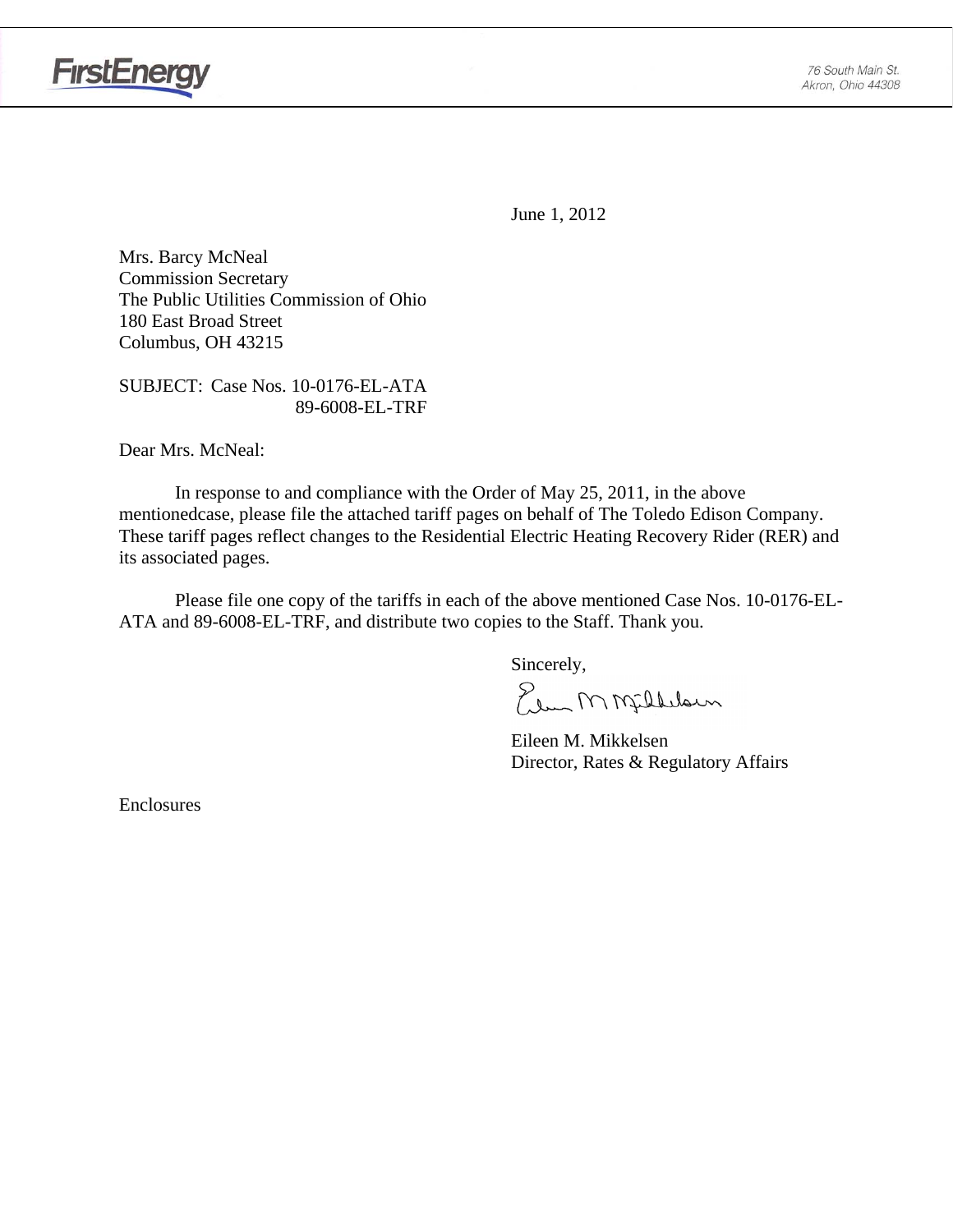

June 1, 2012

Mrs. Barcy McNeal Commission Secretary The Public Utilities Commission of Ohio 180 East Broad Street Columbus, OH 43215

SUBJECT: Case Nos. 10-0176-EL-ATA 89-6008-EL-TRF

Dear Mrs. McNeal:

 In response to and compliance with the Order of May 25, 2011, in the above mentionedcase, please file the attached tariff pages on behalf of The Toledo Edison Company. These tariff pages reflect changes to the Residential Electric Heating Recovery Rider (RER) and its associated pages.

Please file one copy of the tariffs in each of the above mentioned Case Nos. 10-0176-EL-ATA and 89-6008-EL-TRF, and distribute two copies to the Staff. Thank you.

Sincerely,

Elem M Milleloun

 Eileen M. Mikkelsen Director, Rates & Regulatory Affairs

Enclosures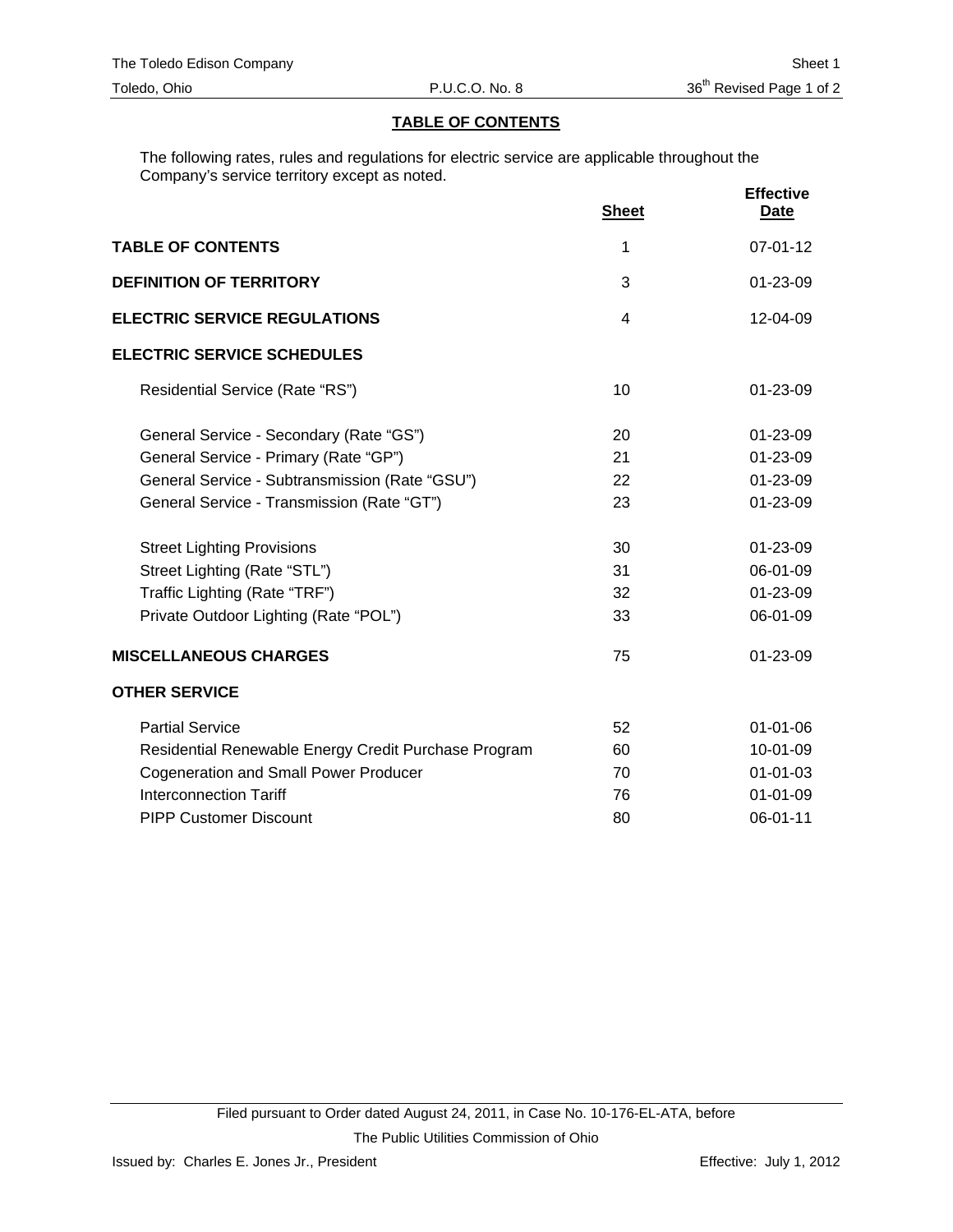# **TABLE OF CONTENTS**

The following rates, rules and regulations for electric service are applicable throughout the Company's service territory except as noted.

|                                                      | <b>Sheet</b>   | <b>Effective</b><br><b>Date</b> |
|------------------------------------------------------|----------------|---------------------------------|
| <b>TABLE OF CONTENTS</b>                             | 1              | $07 - 01 - 12$                  |
| <b>DEFINITION OF TERRITORY</b>                       | 3              | 01-23-09                        |
| <b>ELECTRIC SERVICE REGULATIONS</b>                  | $\overline{4}$ | $12 - 04 - 09$                  |
| <b>ELECTRIC SERVICE SCHEDULES</b>                    |                |                                 |
| Residential Service (Rate "RS")                      | 10             | $01 - 23 - 09$                  |
| General Service - Secondary (Rate "GS")              | 20             | 01-23-09                        |
| General Service - Primary (Rate "GP")                | 21             | $01 - 23 - 09$                  |
| General Service - Subtransmission (Rate "GSU")       | 22             | 01-23-09                        |
| General Service - Transmission (Rate "GT")           | 23             | $01 - 23 - 09$                  |
| <b>Street Lighting Provisions</b>                    | 30             | $01 - 23 - 09$                  |
| Street Lighting (Rate "STL")                         | 31             | 06-01-09                        |
| Traffic Lighting (Rate "TRF")                        | 32             | 01-23-09                        |
| Private Outdoor Lighting (Rate "POL")                | 33             | 06-01-09                        |
| <b>MISCELLANEOUS CHARGES</b>                         | 75             | 01-23-09                        |
| <b>OTHER SERVICE</b>                                 |                |                                 |
| <b>Partial Service</b>                               | 52             | $01 - 01 - 06$                  |
| Residential Renewable Energy Credit Purchase Program | 60             | 10-01-09                        |
| <b>Cogeneration and Small Power Producer</b>         | 70             | $01 - 01 - 03$                  |
| <b>Interconnection Tariff</b>                        | 76             | $01 - 01 - 09$                  |
| <b>PIPP Customer Discount</b>                        | 80             | 06-01-11                        |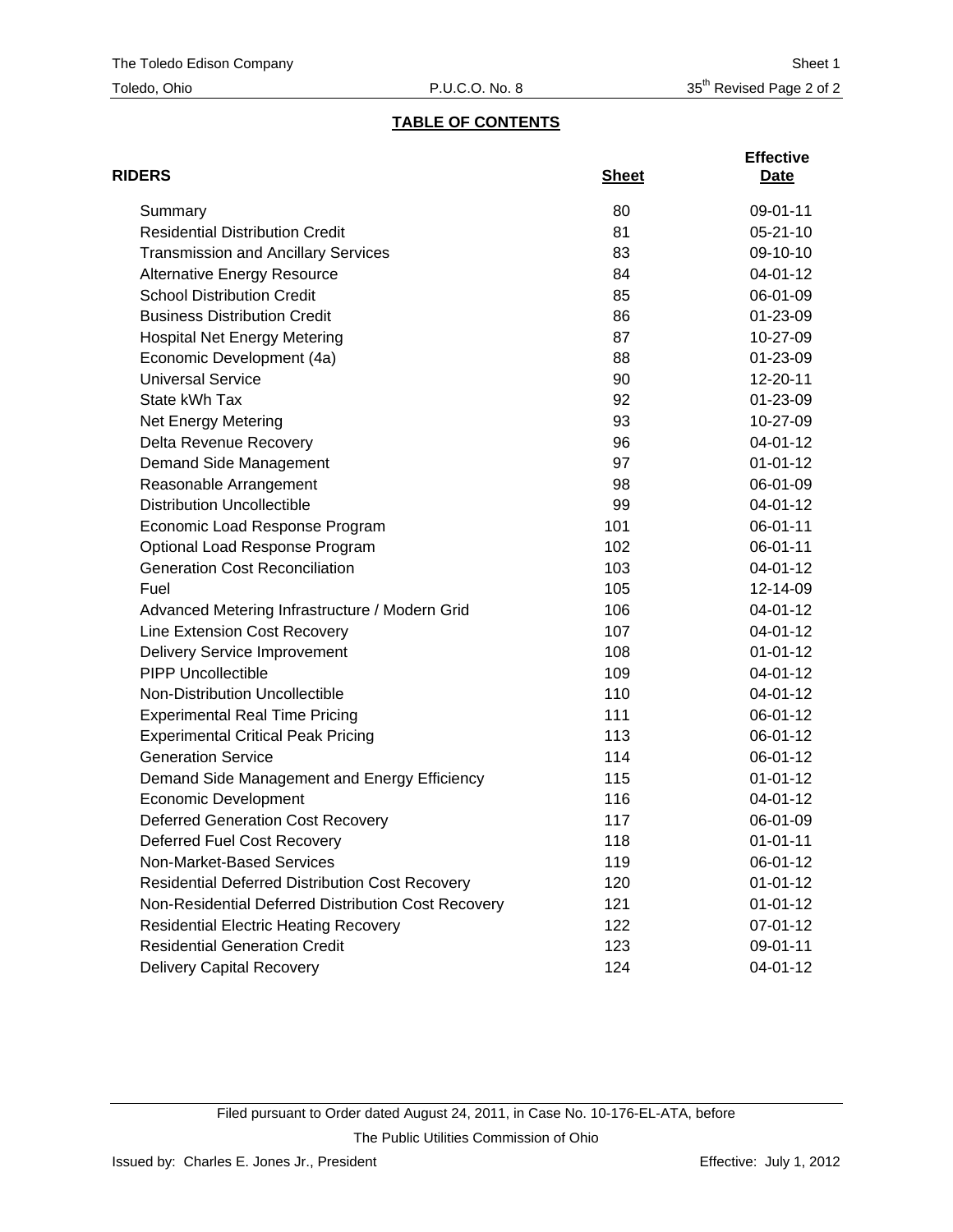# **TABLE OF CONTENTS**

| <b>RIDERS</b>                                          | <b>Sheet</b> | <b>Effective</b><br>Date |
|--------------------------------------------------------|--------------|--------------------------|
| Summary                                                | 80           | 09-01-11                 |
| <b>Residential Distribution Credit</b>                 | 81           | $05 - 21 - 10$           |
| <b>Transmission and Ancillary Services</b>             | 83           | 09-10-10                 |
| <b>Alternative Energy Resource</b>                     | 84           | 04-01-12                 |
| <b>School Distribution Credit</b>                      | 85           | 06-01-09                 |
| <b>Business Distribution Credit</b>                    | 86           | 01-23-09                 |
| <b>Hospital Net Energy Metering</b>                    | 87           | 10-27-09                 |
| Economic Development (4a)                              | 88           | 01-23-09                 |
| <b>Universal Service</b>                               | 90           | 12-20-11                 |
| State kWh Tax                                          | 92           | 01-23-09                 |
| <b>Net Energy Metering</b>                             | 93           | 10-27-09                 |
| Delta Revenue Recovery                                 | 96           | 04-01-12                 |
| Demand Side Management                                 | 97           | $01 - 01 - 12$           |
| Reasonable Arrangement                                 | 98           | 06-01-09                 |
| <b>Distribution Uncollectible</b>                      | 99           | 04-01-12                 |
| Economic Load Response Program                         | 101          | 06-01-11                 |
| Optional Load Response Program                         | 102          | 06-01-11                 |
| <b>Generation Cost Reconciliation</b>                  | 103          | 04-01-12                 |
| Fuel                                                   | 105          | 12-14-09                 |
| Advanced Metering Infrastructure / Modern Grid         | 106          | 04-01-12                 |
| Line Extension Cost Recovery                           | 107          | 04-01-12                 |
| <b>Delivery Service Improvement</b>                    | 108          | $01 - 01 - 12$           |
| <b>PIPP Uncollectible</b>                              | 109          | 04-01-12                 |
| Non-Distribution Uncollectible                         | 110          | 04-01-12                 |
| <b>Experimental Real Time Pricing</b>                  | 111          | 06-01-12                 |
| <b>Experimental Critical Peak Pricing</b>              | 113          | 06-01-12                 |
| <b>Generation Service</b>                              | 114          | 06-01-12                 |
| Demand Side Management and Energy Efficiency           | 115          | $01 - 01 - 12$           |
| <b>Economic Development</b>                            | 116          | 04-01-12                 |
| <b>Deferred Generation Cost Recovery</b>               | 117          | 06-01-09                 |
| Deferred Fuel Cost Recovery                            | 118          | $01 - 01 - 11$           |
| Non-Market-Based Services                              | 119          | 06-01-12                 |
| <b>Residential Deferred Distribution Cost Recovery</b> | 120          | $01 - 01 - 12$           |
| Non-Residential Deferred Distribution Cost Recovery    | 121          | $01 - 01 - 12$           |
| <b>Residential Electric Heating Recovery</b>           | 122          | 07-01-12                 |
| <b>Residential Generation Credit</b>                   | 123          | 09-01-11                 |
| <b>Delivery Capital Recovery</b>                       | 124          | 04-01-12                 |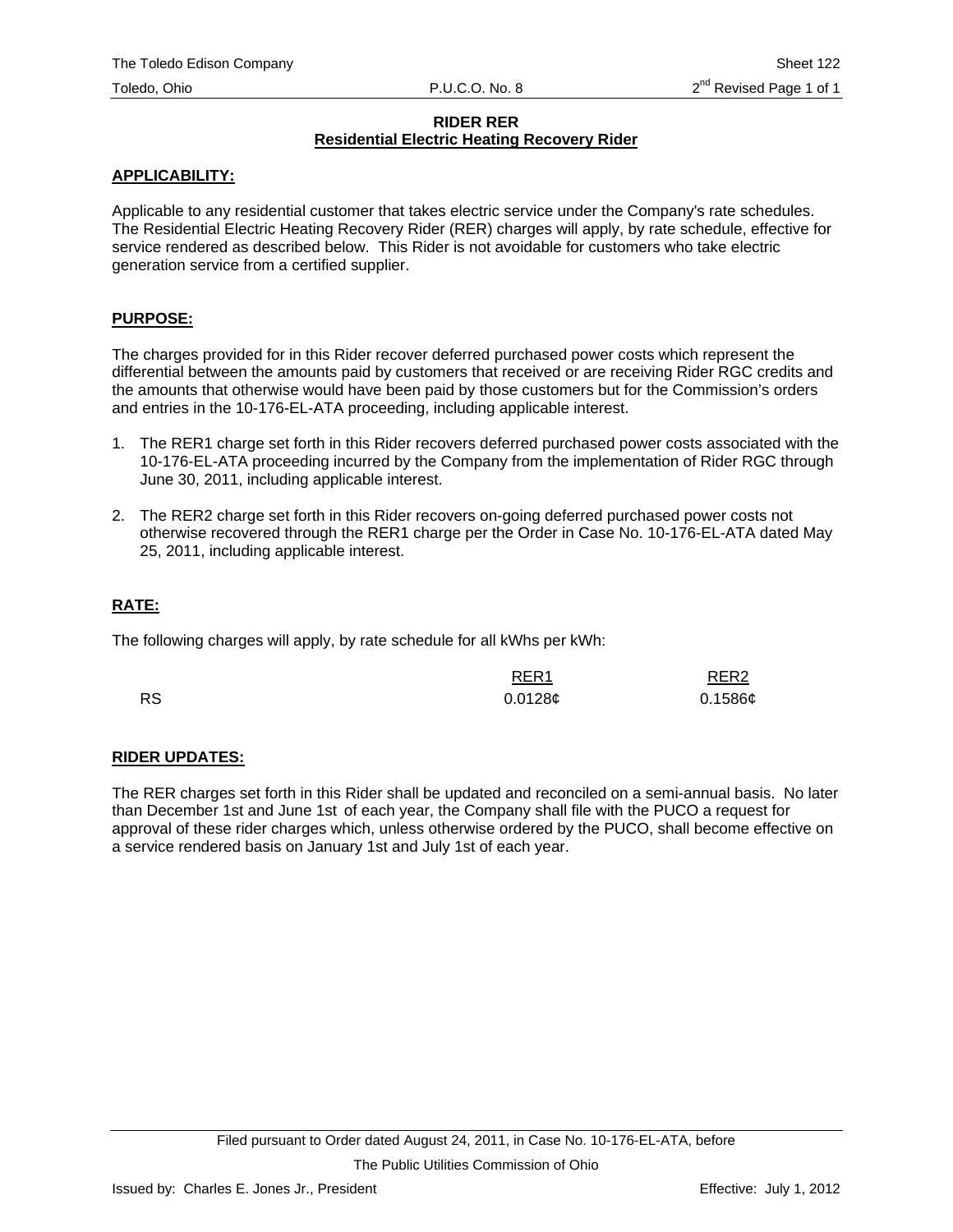#### **RIDER RER Residential Electric Heating Recovery Rider**

## **APPLICABILITY:**

Applicable to any residential customer that takes electric service under the Company's rate schedules. The Residential Electric Heating Recovery Rider (RER) charges will apply, by rate schedule, effective for service rendered as described below. This Rider is not avoidable for customers who take electric generation service from a certified supplier.

#### **PURPOSE:**

The charges provided for in this Rider recover deferred purchased power costs which represent the differential between the amounts paid by customers that received or are receiving Rider RGC credits and the amounts that otherwise would have been paid by those customers but for the Commission's orders and entries in the 10-176-EL-ATA proceeding, including applicable interest.

- 1. The RER1 charge set forth in this Rider recovers deferred purchased power costs associated with the 10-176-EL-ATA proceeding incurred by the Company from the implementation of Rider RGC through June 30, 2011, including applicable interest.
- 2. The RER2 charge set forth in this Rider recovers on-going deferred purchased power costs not otherwise recovered through the RER1 charge per the Order in Case No. 10-176-EL-ATA dated May 25, 2011, including applicable interest.

# **RATE:**

The following charges will apply, by rate schedule for all kWhs per kWh:

|           | RER <sub>1</sub> | RER <sub>2</sub> |
|-----------|------------------|------------------|
| <b>RS</b> | 0.0128c          | $0.1586$ ¢       |

# **RIDER UPDATES:**

The RER charges set forth in this Rider shall be updated and reconciled on a semi-annual basis. No later than December 1st and June 1st of each year, the Company shall file with the PUCO a request for approval of these rider charges which, unless otherwise ordered by the PUCO, shall become effective on a service rendered basis on January 1st and July 1st of each year.